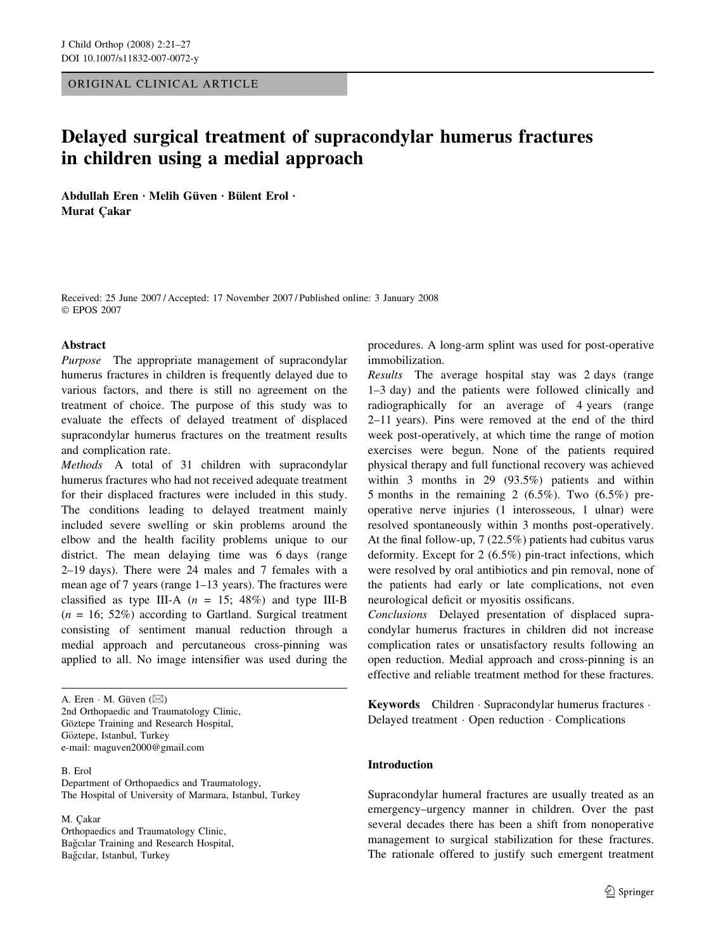ORIGINAL CLINICAL ARTICLE

# Delayed surgical treatment of supracondylar humerus fractures in children using a medial approach

Abdullah Eren · Melih Güven · Bülent Erol · **Murat Cakar** 

Received: 25 June 2007 / Accepted: 17 November 2007 / Published online: 3 January 2008 EPOS 2007

#### Abstract

Purpose The appropriate management of supracondylar humerus fractures in children is frequently delayed due to various factors, and there is still no agreement on the treatment of choice. The purpose of this study was to evaluate the effects of delayed treatment of displaced supracondylar humerus fractures on the treatment results and complication rate.

Methods A total of 31 children with supracondylar humerus fractures who had not received adequate treatment for their displaced fractures were included in this study. The conditions leading to delayed treatment mainly included severe swelling or skin problems around the elbow and the health facility problems unique to our district. The mean delaying time was 6 days (range 2–19 days). There were 24 males and 7 females with a mean age of 7 years (range 1–13 years). The fractures were classified as type III-A  $(n = 15; 48\%)$  and type III-B  $(n = 16; 52\%)$  according to Gartland. Surgical treatment consisting of sentiment manual reduction through a medial approach and percutaneous cross-pinning was applied to all. No image intensifier was used during the

A. Eren  $\cdot$  M. Güven ( $\boxtimes$ ) 2nd Orthopaedic and Traumatology Clinic, Göztepe Training and Research Hospital, Göztepe, Istanbul, Turkey e-mail: maguven2000@gmail.com

B. Erol Department of Orthopaedics and Traumatology, The Hospital of University of Marmara, Istanbul, Turkey

M. Cakar Orthopaedics and Traumatology Clinic, Bağcılar Training and Research Hospital, Bağcılar, Istanbul, Turkey

procedures. A long-arm splint was used for post-operative immobilization.

Results The average hospital stay was 2 days (range 1–3 day) and the patients were followed clinically and radiographically for an average of 4 years (range 2–11 years). Pins were removed at the end of the third week post-operatively, at which time the range of motion exercises were begun. None of the patients required physical therapy and full functional recovery was achieved within 3 months in 29 (93.5%) patients and within 5 months in the remaining 2 (6.5%). Two (6.5%) preoperative nerve injuries (1 interosseous, 1 ulnar) were resolved spontaneously within 3 months post-operatively. At the final follow-up, 7 (22.5%) patients had cubitus varus deformity. Except for 2 (6.5%) pin-tract infections, which were resolved by oral antibiotics and pin removal, none of the patients had early or late complications, not even neurological deficit or myositis ossificans.

Conclusions Delayed presentation of displaced supracondylar humerus fractures in children did not increase complication rates or unsatisfactory results following an open reduction. Medial approach and cross-pinning is an effective and reliable treatment method for these fractures.

Keywords Children · Supracondylar humerus fractures · Delayed treatment  $\cdot$  Open reduction  $\cdot$  Complications

#### Introduction

Supracondylar humeral fractures are usually treated as an emergency–urgency manner in children. Over the past several decades there has been a shift from nonoperative management to surgical stabilization for these fractures. The rationale offered to justify such emergent treatment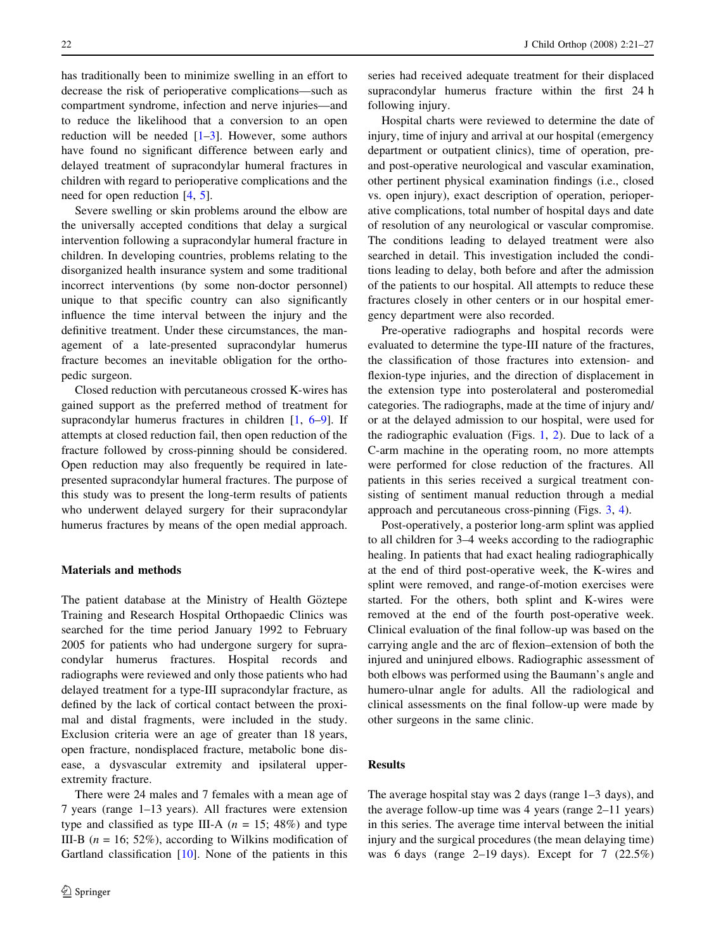has traditionally been to minimize swelling in an effort to decrease the risk of perioperative complications—such as compartment syndrome, infection and nerve injuries—and to reduce the likelihood that a conversion to an open reduction will be needed  $[1-3]$ . However, some authors have found no significant difference between early and delayed treatment of supracondylar humeral fractures in children with regard to perioperative complications and the need for open reduction [[4](#page-5-0), [5](#page-5-0)].

Severe swelling or skin problems around the elbow are the universally accepted conditions that delay a surgical intervention following a supracondylar humeral fracture in children. In developing countries, problems relating to the disorganized health insurance system and some traditional incorrect interventions (by some non-doctor personnel) unique to that specific country can also significantly influence the time interval between the injury and the definitive treatment. Under these circumstances, the management of a late-presented supracondylar humerus fracture becomes an inevitable obligation for the orthopedic surgeon.

Closed reduction with percutaneous crossed K-wires has gained support as the preferred method of treatment for supracondylar humerus fractures in children [[1,](#page-5-0) [6–9\]](#page-5-0). If attempts at closed reduction fail, then open reduction of the fracture followed by cross-pinning should be considered. Open reduction may also frequently be required in latepresented supracondylar humeral fractures. The purpose of this study was to present the long-term results of patients who underwent delayed surgery for their supracondylar humerus fractures by means of the open medial approach.

#### Materials and methods

The patient database at the Ministry of Health Göztepe Training and Research Hospital Orthopaedic Clinics was searched for the time period January 1992 to February 2005 for patients who had undergone surgery for supracondylar humerus fractures. Hospital records and radiographs were reviewed and only those patients who had delayed treatment for a type-III supracondylar fracture, as defined by the lack of cortical contact between the proximal and distal fragments, were included in the study. Exclusion criteria were an age of greater than 18 years, open fracture, nondisplaced fracture, metabolic bone disease, a dysvascular extremity and ipsilateral upperextremity fracture.

There were 24 males and 7 females with a mean age of 7 years (range 1–13 years). All fractures were extension type and classified as type III-A ( $n = 15$ ; 48%) and type III-B ( $n = 16$ ; 52%), according to Wilkins modification of Gartland classification [[10\]](#page-5-0). None of the patients in this

series had received adequate treatment for their displaced supracondylar humerus fracture within the first 24 h following injury.

Hospital charts were reviewed to determine the date of injury, time of injury and arrival at our hospital (emergency department or outpatient clinics), time of operation, preand post-operative neurological and vascular examination, other pertinent physical examination findings (i.e., closed vs. open injury), exact description of operation, perioperative complications, total number of hospital days and date of resolution of any neurological or vascular compromise. The conditions leading to delayed treatment were also searched in detail. This investigation included the conditions leading to delay, both before and after the admission of the patients to our hospital. All attempts to reduce these fractures closely in other centers or in our hospital emergency department were also recorded.

Pre-operative radiographs and hospital records were evaluated to determine the type-III nature of the fractures, the classification of those fractures into extension- and flexion-type injuries, and the direction of displacement in the extension type into posterolateral and posteromedial categories. The radiographs, made at the time of injury and/ or at the delayed admission to our hospital, were used for the radiographic evaluation (Figs. [1,](#page-2-0) [2](#page-2-0)). Due to lack of a C-arm machine in the operating room, no more attempts were performed for close reduction of the fractures. All patients in this series received a surgical treatment consisting of sentiment manual reduction through a medial approach and percutaneous cross-pinning (Figs. [3](#page-3-0), [4\)](#page-3-0).

Post-operatively, a posterior long-arm splint was applied to all children for 3–4 weeks according to the radiographic healing. In patients that had exact healing radiographically at the end of third post-operative week, the K-wires and splint were removed, and range-of-motion exercises were started. For the others, both splint and K-wires were removed at the end of the fourth post-operative week. Clinical evaluation of the final follow-up was based on the carrying angle and the arc of flexion–extension of both the injured and uninjured elbows. Radiographic assessment of both elbows was performed using the Baumann's angle and humero-ulnar angle for adults. All the radiological and clinical assessments on the final follow-up were made by other surgeons in the same clinic.

### Results

The average hospital stay was 2 days (range 1–3 days), and the average follow-up time was 4 years (range 2–11 years) in this series. The average time interval between the initial injury and the surgical procedures (the mean delaying time) was 6 days (range  $2-19$  days). Except for 7  $(22.5\%)$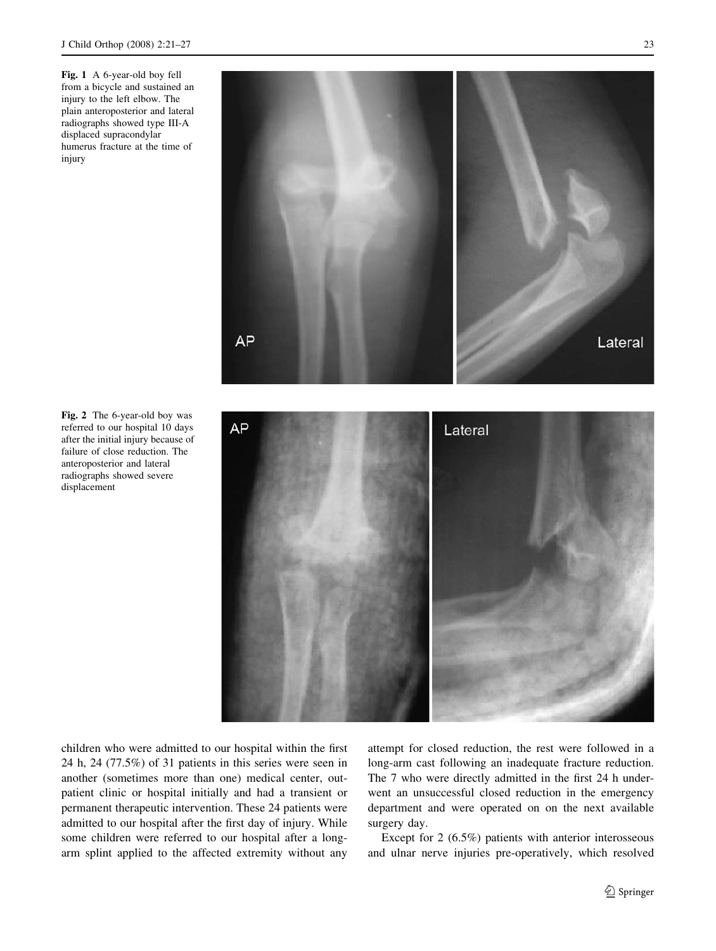<span id="page-2-0"></span>Fig. 1 A 6-year-old boy fell from a bicycle and sustained an injury to the left elbow. The plain anteroposterior and lateral radiographs showed type III-A displaced supracondylar humerus fracture at the time of injury



Fig. 2 The 6-year-old boy was referred to our hospital 10 days after the initial injury because of failure of close reduction. The anteroposterior and lateral radiographs showed severe displacement



children who were admitted to our hospital within the first 24 h, 24 (77.5%) of 31 patients in this series were seen in another (sometimes more than one) medical center, outpatient clinic or hospital initially and had a transient or permanent therapeutic intervention. These 24 patients were admitted to our hospital after the first day of injury. While some children were referred to our hospital after a longarm splint applied to the affected extremity without any attempt for closed reduction, the rest were followed in a long-arm cast following an inadequate fracture reduction. The 7 who were directly admitted in the first 24 h underwent an unsuccessful closed reduction in the emergency department and were operated on on the next available surgery day.

Except for 2 (6.5%) patients with anterior interosseous and ulnar nerve injuries pre-operatively, which resolved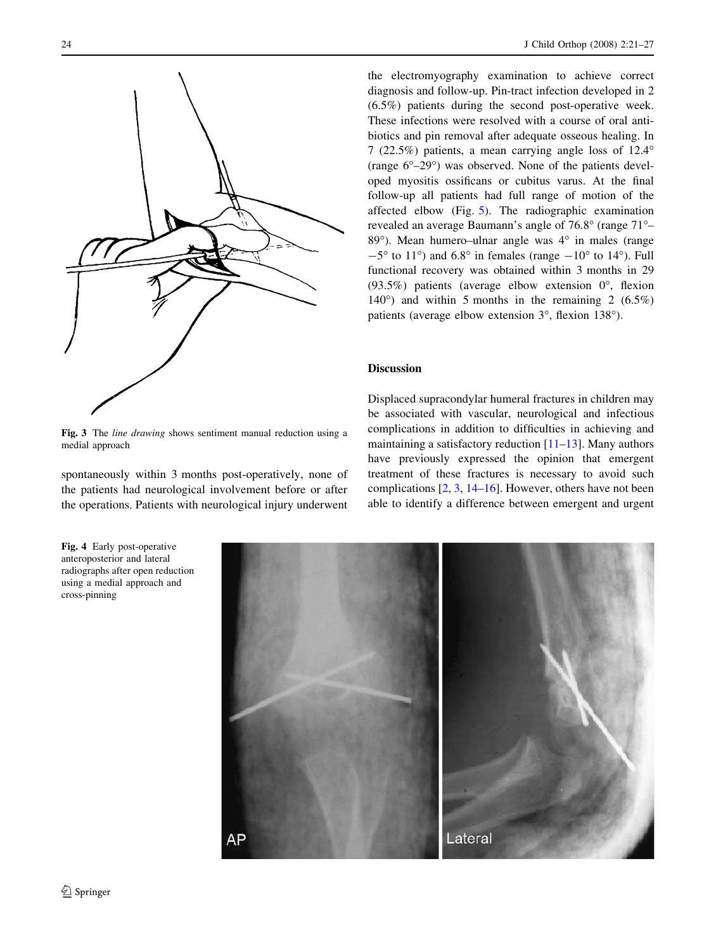<span id="page-3-0"></span>

Fig. 3 The *line drawing* shows sentiment manual reduction using a medial approach

spontaneously within 3 months post-operatively, none of the patients had neurological involvement before or after the operations. Patients with neurological injury underwent

24 J Child Orthop (2008) 2:21–27

the electromyography examination to achieve correct diagnosis and follow-up. Pin-tract infection developed in 2 (6.5%) patients during the second post-operative week. These infections were resolved with a course of oral antibiotics and pin removal after adequate osseous healing. In 7 (22.5%) patients, a mean carrying angle loss of  $12.4^{\circ}$ (range 6°-29°) was observed. None of the patients developed myositis ossificans or cubitus varus. At the final follow-up all patients had full range of motion of the affected elbow (Fig. [5](#page-4-0)). The radiographic examination revealed an average Baumann's angle of 76.8° (range 71°– 89°). Mean humero–ulnar angle was 4° in males (range  $-5^{\circ}$  to 11°) and 6.8° in females (range  $-10^{\circ}$  to 14°). Full functional recovery was obtained within 3 months in 29 (93.5%) patients (average elbow extension  $0^{\circ}$ , flexion 140 $^{\circ}$ ) and within 5 months in the remaining 2 (6.5%) patients (average elbow extension 3°, flexion 138°).

## Discussion

Displaced supracondylar humeral fractures in children may be associated with vascular, neurological and infectious complications in addition to difficulties in achieving and maintaining a satisfactory reduction [[11–13\]](#page-5-0). Many authors have previously expressed the opinion that emergent treatment of these fractures is necessary to avoid such complications [\[2](#page-5-0), [3,](#page-5-0) [14–16\]](#page-6-0). However, others have not been able to identify a difference between emergent and urgent

Lateral АP

Fig. 4 Early post-operative anteroposterior and lateral radiographs after open reduction using a medial approach and cross-pinning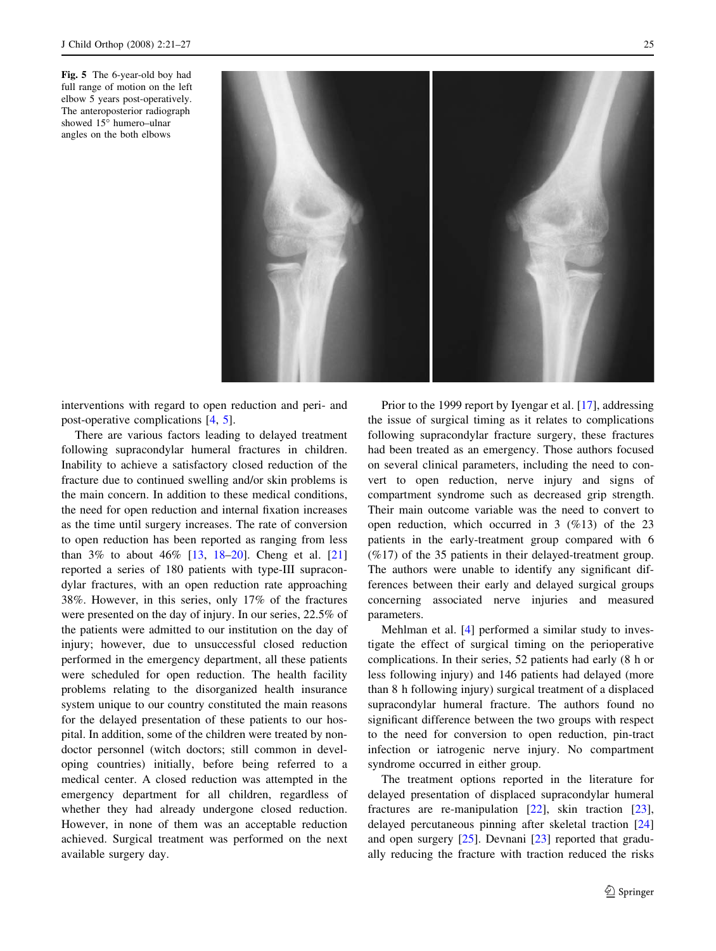<span id="page-4-0"></span>Fig. 5 The 6-year-old boy had full range of motion on the left elbow 5 years post-operatively. The anteroposterior radiograph showed 15° humero-ulnar angles on the both elbows



interventions with regard to open reduction and peri- and post-operative complications [[4,](#page-5-0) [5](#page-5-0)].

There are various factors leading to delayed treatment following supracondylar humeral fractures in children. Inability to achieve a satisfactory closed reduction of the fracture due to continued swelling and/or skin problems is the main concern. In addition to these medical conditions, the need for open reduction and internal fixation increases as the time until surgery increases. The rate of conversion to open reduction has been reported as ranging from less than 3% to about 46% [[13,](#page-5-0) [18–20](#page-6-0)]. Cheng et al. [[21\]](#page-6-0) reported a series of 180 patients with type-III supracondylar fractures, with an open reduction rate approaching 38%. However, in this series, only 17% of the fractures were presented on the day of injury. In our series, 22.5% of the patients were admitted to our institution on the day of injury; however, due to unsuccessful closed reduction performed in the emergency department, all these patients were scheduled for open reduction. The health facility problems relating to the disorganized health insurance system unique to our country constituted the main reasons for the delayed presentation of these patients to our hospital. In addition, some of the children were treated by nondoctor personnel (witch doctors; still common in developing countries) initially, before being referred to a medical center. A closed reduction was attempted in the emergency department for all children, regardless of whether they had already undergone closed reduction. However, in none of them was an acceptable reduction achieved. Surgical treatment was performed on the next available surgery day.

Prior to the 1999 report by Iyengar et al. [\[17](#page-6-0)], addressing the issue of surgical timing as it relates to complications following supracondylar fracture surgery, these fractures had been treated as an emergency. Those authors focused on several clinical parameters, including the need to convert to open reduction, nerve injury and signs of compartment syndrome such as decreased grip strength. Their main outcome variable was the need to convert to open reduction, which occurred in 3 (%13) of the 23 patients in the early-treatment group compared with 6 (%17) of the 35 patients in their delayed-treatment group. The authors were unable to identify any significant differences between their early and delayed surgical groups concerning associated nerve injuries and measured parameters.

Mehlman et al. [[4\]](#page-5-0) performed a similar study to investigate the effect of surgical timing on the perioperative complications. In their series, 52 patients had early (8 h or less following injury) and 146 patients had delayed (more than 8 h following injury) surgical treatment of a displaced supracondylar humeral fracture. The authors found no significant difference between the two groups with respect to the need for conversion to open reduction, pin-tract infection or iatrogenic nerve injury. No compartment syndrome occurred in either group.

The treatment options reported in the literature for delayed presentation of displaced supracondylar humeral fractures are re-manipulation [\[22](#page-6-0)], skin traction [\[23](#page-6-0)], delayed percutaneous pinning after skeletal traction [[24\]](#page-6-0) and open surgery [[25\]](#page-6-0). Devnani [\[23](#page-6-0)] reported that gradually reducing the fracture with traction reduced the risks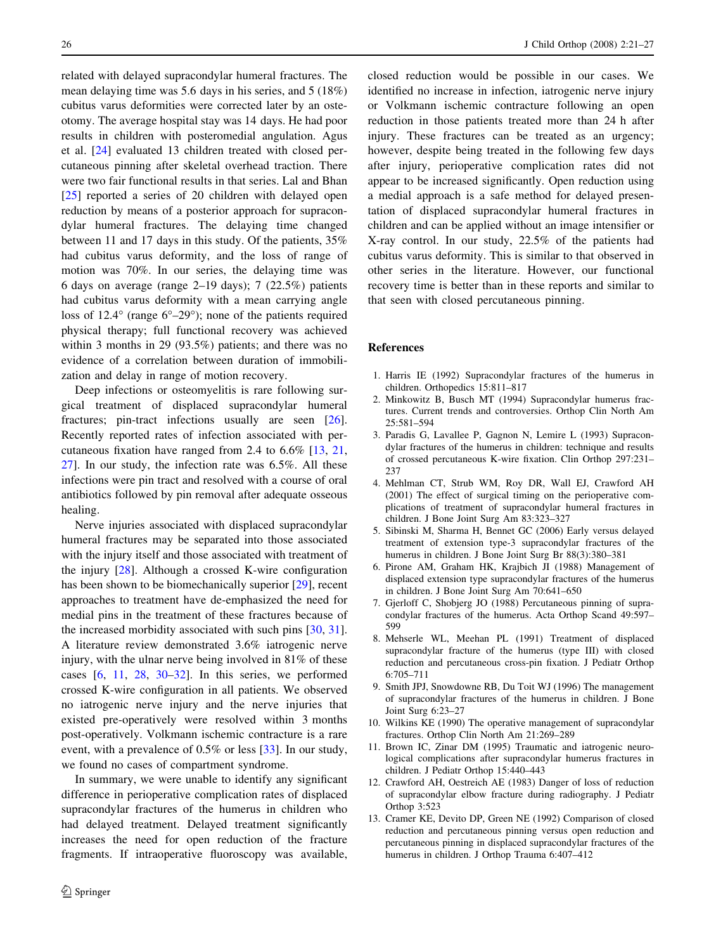<span id="page-5-0"></span>related with delayed supracondylar humeral fractures. The mean delaying time was 5.6 days in his series, and 5 (18%) cubitus varus deformities were corrected later by an osteotomy. The average hospital stay was 14 days. He had poor results in children with posteromedial angulation. Agus et al. [\[24](#page-6-0)] evaluated 13 children treated with closed percutaneous pinning after skeletal overhead traction. There were two fair functional results in that series. Lal and Bhan [\[25](#page-6-0)] reported a series of 20 children with delayed open reduction by means of a posterior approach for supracondylar humeral fractures. The delaying time changed between 11 and 17 days in this study. Of the patients, 35% had cubitus varus deformity, and the loss of range of motion was 70%. In our series, the delaying time was 6 days on average (range 2–19 days); 7 (22.5%) patients had cubitus varus deformity with a mean carrying angle loss of 12.4 $\textdegree$  (range 6 $\textdegree$ -29 $\textdegree$ ); none of the patients required physical therapy; full functional recovery was achieved within 3 months in 29 (93.5%) patients; and there was no evidence of a correlation between duration of immobilization and delay in range of motion recovery.

Deep infections or osteomyelitis is rare following surgical treatment of displaced supracondylar humeral fractures; pin-tract infections usually are seen [\[26](#page-6-0)]. Recently reported rates of infection associated with percutaneous fixation have ranged from 2.4 to 6.6% [13, [21,](#page-6-0) [27\]](#page-6-0). In our study, the infection rate was 6.5%. All these infections were pin tract and resolved with a course of oral antibiotics followed by pin removal after adequate osseous healing.

Nerve injuries associated with displaced supracondylar humeral fractures may be separated into those associated with the injury itself and those associated with treatment of the injury [[28\]](#page-6-0). Although a crossed K-wire configuration has been shown to be biomechanically superior [\[29](#page-6-0)], recent approaches to treatment have de-emphasized the need for medial pins in the treatment of these fractures because of the increased morbidity associated with such pins [[30,](#page-6-0) [31](#page-6-0)]. A literature review demonstrated 3.6% iatrogenic nerve injury, with the ulnar nerve being involved in 81% of these cases [6, 11, [28,](#page-6-0) [30–32\]](#page-6-0). In this series, we performed crossed K-wire configuration in all patients. We observed no iatrogenic nerve injury and the nerve injuries that existed pre-operatively were resolved within 3 months post-operatively. Volkmann ischemic contracture is a rare event, with a prevalence of 0.5% or less [\[33](#page-6-0)]. In our study, we found no cases of compartment syndrome.

In summary, we were unable to identify any significant difference in perioperative complication rates of displaced supracondylar fractures of the humerus in children who had delayed treatment. Delayed treatment significantly increases the need for open reduction of the fracture fragments. If intraoperative fluoroscopy was available, closed reduction would be possible in our cases. We identified no increase in infection, iatrogenic nerve injury or Volkmann ischemic contracture following an open reduction in those patients treated more than 24 h after injury. These fractures can be treated as an urgency; however, despite being treated in the following few days after injury, perioperative complication rates did not appear to be increased significantly. Open reduction using a medial approach is a safe method for delayed presentation of displaced supracondylar humeral fractures in children and can be applied without an image intensifier or X-ray control. In our study, 22.5% of the patients had cubitus varus deformity. This is similar to that observed in other series in the literature. However, our functional recovery time is better than in these reports and similar to that seen with closed percutaneous pinning.

#### References

- 1. Harris IE (1992) Supracondylar fractures of the humerus in children. Orthopedics 15:811–817
- 2. Minkowitz B, Busch MT (1994) Supracondylar humerus fractures. Current trends and controversies. Orthop Clin North Am 25:581–594
- 3. Paradis G, Lavallee P, Gagnon N, Lemire L (1993) Supracondylar fractures of the humerus in children: technique and results of crossed percutaneous K-wire fixation. Clin Orthop 297:231– 237
- 4. Mehlman CT, Strub WM, Roy DR, Wall EJ, Crawford AH (2001) The effect of surgical timing on the perioperative complications of treatment of supracondylar humeral fractures in children. J Bone Joint Surg Am 83:323–327
- 5. Sibinski M, Sharma H, Bennet GC (2006) Early versus delayed treatment of extension type-3 supracondylar fractures of the humerus in children. J Bone Joint Surg Br 88(3):380–381
- 6. Pirone AM, Graham HK, Krajbich JI (1988) Management of displaced extension type supracondylar fractures of the humerus in children. J Bone Joint Surg Am 70:641–650
- 7. Gjerloff C, Shobjerg JO (1988) Percutaneous pinning of supracondylar fractures of the humerus. Acta Orthop Scand 49:597– 599
- 8. Mehserle WL, Meehan PL (1991) Treatment of displaced supracondylar fracture of the humerus (type III) with closed reduction and percutaneous cross-pin fixation. J Pediatr Orthop 6:705–711
- 9. Smith JPJ, Snowdowne RB, Du Toit WJ (1996) The management of supracondylar fractures of the humerus in children. J Bone Joint Surg 6:23–27
- 10. Wilkins KE (1990) The operative management of supracondylar fractures. Orthop Clin North Am 21:269–289
- 11. Brown IC, Zinar DM (1995) Traumatic and iatrogenic neurological complications after supracondylar humerus fractures in children. J Pediatr Orthop 15:440–443
- 12. Crawford AH, Oestreich AE (1983) Danger of loss of reduction of supracondylar elbow fracture during radiography. J Pediatr Orthop 3:523
- 13. Cramer KE, Devito DP, Green NE (1992) Comparison of closed reduction and percutaneous pinning versus open reduction and percutaneous pinning in displaced supracondylar fractures of the humerus in children. J Orthop Trauma 6:407–412